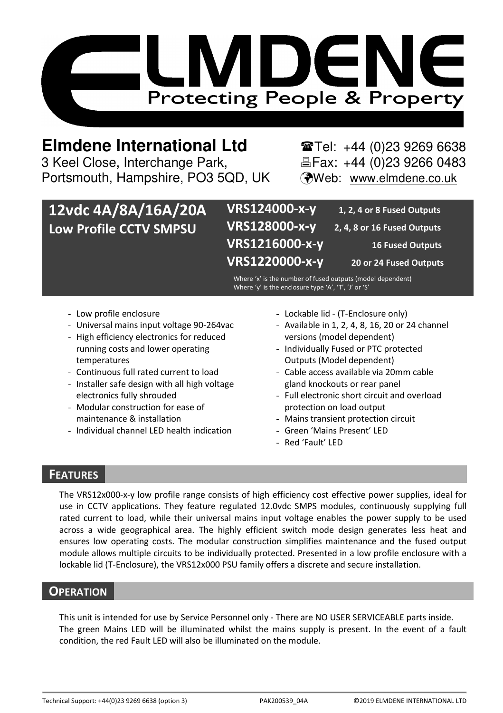

# **Elmdene International Ltd** Tel: +44 (0)23 9269 6638

3 Keel Close, Interchange Park, Electric Fax: +44 (0)23 9266 0483 Portsmouth, Hampshire, PO3 5QD, UK (Web: www.elmdene.co.uk

| 12vdc 4A/8A/16A/20A    | VRS124000-x-y  | 1, 2, 4 or 8 Fused Outputs  |
|------------------------|----------------|-----------------------------|
| Low Profile CCTV SMPSU | VRS128000-x-y  | 2, 4, 8 or 16 Fused Outputs |
|                        | VRS1216000-x-y | <b>16 Fused Outputs</b>     |
|                        | VRS1220000-x-y | 20 or 24 Fused Outputs      |

Where 'x' is the number of fused outputs (model dependent) Where 'y' is the enclosure type 'A', 'T', 'J' or 'S'

- Low profile enclosure
- Universal mains input voltage 90-264vac
- High efficiency electronics for reduced running costs and lower operating temperatures
- Continuous full rated current to load
- Installer safe design with all high voltage electronics fully shrouded
- Modular construction for ease of maintenance & installation
- Individual channel LED health indication
- Lockable lid (T-Enclosure only)
- Available in 1, 2, 4, 8, 16, 20 or 24 channel versions (model dependent)
- Individually Fused or PTC protected Outputs (Model dependent)
- Cable access available via 20mm cable gland knockouts or rear panel
- Full electronic short circuit and overload protection on load output
- Mains transient protection circuit
- Green 'Mains Present' LED
- Red 'Fault' LED

## **FEATURES**

The VRS12x000-x-y low profile range consists of high efficiency cost effective power supplies, ideal for use in CCTV applications. They feature regulated 12.0vdc SMPS modules, continuously supplying full rated current to load, while their universal mains input voltage enables the power supply to be used across a wide geographical area. The highly efficient switch mode design generates less heat and ensures low operating costs. The modular construction simplifies maintenance and the fused output module allows multiple circuits to be individually protected. Presented in a low profile enclosure with a lockable lid (T-Enclosure), the VRS12x000 PSU family offers a discrete and secure installation.

## **OPERATION**

This unit is intended for use by Service Personnel only - There are NO USER SERVICEABLE parts inside. The green Mains LED will be illuminated whilst the mains supply is present. In the event of a fault condition, the red Fault LED will also be illuminated on the module.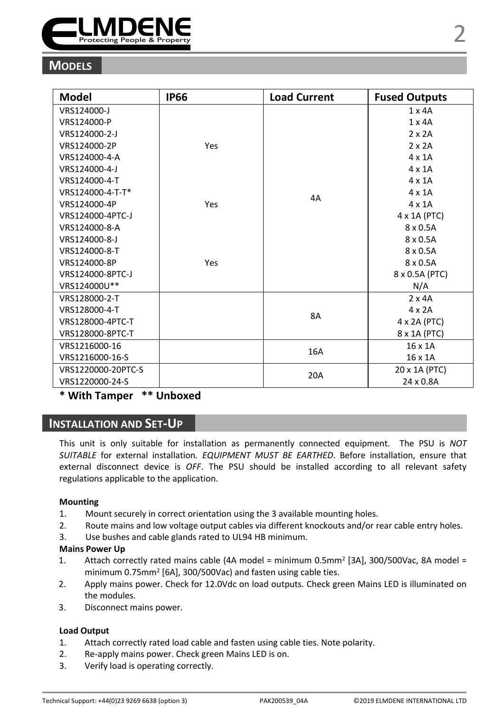

## **MODELS**

| Model              | <b>IP66</b> | <b>Load Current</b> | <b>Fused Outputs</b> |
|--------------------|-------------|---------------------|----------------------|
| VRS124000-J        |             |                     | $1 \times 4A$        |
| VRS124000-P        |             |                     | $1 \times 4A$        |
| VRS124000-2-J      |             |                     | $2 \times 2A$        |
| VRS124000-2P       | Yes         |                     | $2 \times 2A$        |
| VRS124000-4-A      |             |                     | 4 x 1 A              |
| VRS124000-4-J      |             |                     | $4 \times 1$ A       |
| VRS124000-4-T      |             | 4A                  | $4 \times 1$ A       |
| VRS124000-4-T-T*   |             |                     | $4 \times 1$ A       |
| VRS124000-4P       | Yes         |                     | $4 \times 1$ A       |
| VRS124000-4PTC-J   |             |                     | 4 x 1A (PTC)         |
| VRS124000-8-A      |             |                     | $8 \times 0.5$ A     |
| VRS124000-8-J      |             |                     | $8 \times 0.5$ A     |
| VRS124000-8-T      |             |                     | $8 \times 0.5$ A     |
| VRS124000-8P       | Yes         |                     | $8 \times 0.5$ A     |
| VRS124000-8PTC-J   |             |                     | 8 x 0.5A (PTC)       |
| VRS124000U**       |             |                     | N/A                  |
| VRS128000-2-T      |             |                     | $2 \times 4A$        |
| VRS128000-4-T      |             | <b>8A</b>           | $4 \times 2A$        |
| VRS128000-4PTC-T   |             |                     | 4 x 2A (PTC)         |
| VRS128000-8PTC-T   |             |                     | 8 x 1A (PTC)         |
| VRS1216000-16      |             |                     | $16 \times 1A$       |
| VRS1216000-16-S    |             | 16A                 | 16 x 1A              |
| VRS1220000-20PTC-S |             |                     | 20 x 1A (PTC)        |
| VRS1220000-24-S    |             | 20A                 | 24 x 0.8A            |

## **\* With Tamper \*\* Unboxed**

## **INSTALLATION AND SET-UP**

This unit is only suitable for installation as permanently connected equipment. The PSU is *NOT SUITABLE* for external installation*. EQUIPMENT MUST BE EARTHED*. Before installation, ensure that external disconnect device is *OFF*. The PSU should be installed according to all relevant safety regulations applicable to the application.

#### **Mounting**

- 1. Mount securely in correct orientation using the 3 available mounting holes.
- 2. Route mains and low voltage output cables via different knockouts and/or rear cable entry holes.
- 3. Use bushes and cable glands rated to UL94 HB minimum.

#### **Mains Power Up**

- 1. Attach correctly rated mains cable (4A model = minimum 0.5mm<sup>2</sup> [3A], 300/500Vac, 8A model = minimum 0.75mm<sup>2</sup> [6A], 300/500Vac) and fasten using cable ties.
- 2. Apply mains power. Check for 12.0Vdc on load outputs. Check green Mains LED is illuminated on the modules.
- 3. Disconnect mains power.

#### **Load Output**

- 1. Attach correctly rated load cable and fasten using cable ties. Note polarity.
- 2. Re-apply mains power. Check green Mains LED is on.
- 3. Verify load is operating correctly.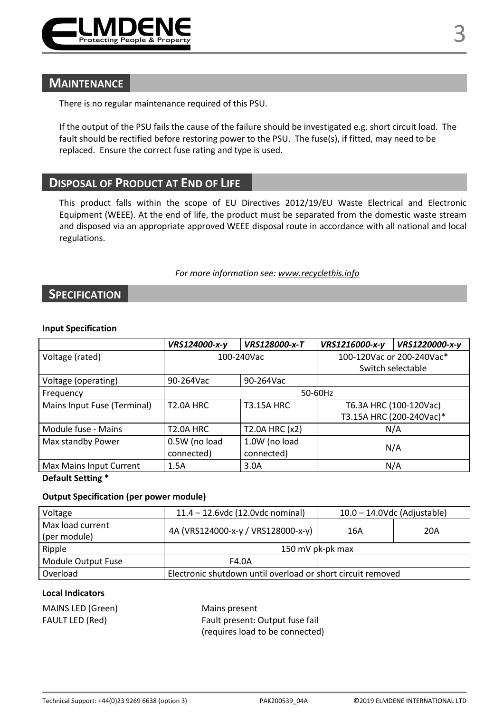

## **MAINTENANCE**

There is no regular maintenance required of this PSU.

If the output of the PSU fails the cause of the failure should be investigated e.g. short circuit load. The fault should be rectified before restoring power to the PSU. The fuse(s), if fitted, may need to be replaced. Ensure the correct fuse rating and type is used.

## **DISPOSAL OF PRODUCT AT END OF LIFE**

This product falls within the scope of EU Directives 2012/19/EU Waste Electrical and Electronic Equipment (WEEE). At the end of life, the product must be separated from the domestic waste stream and disposed via an appropriate approved WEEE disposal route in accordance with all national and local regulations.

#### *For more information see: www.recyclethis.info*

## **SPECIFICATION**

#### **Input Specification**

|                             | VRS124000-x-y    | VRS128000-x-T     | VRS1216000-x-y            | VRS1220000-x-y           |
|-----------------------------|------------------|-------------------|---------------------------|--------------------------|
| Voltage (rated)             | 100-240Vac       |                   | 100-120Vac or 200-240Vac* |                          |
|                             |                  |                   |                           | Switch selectable        |
| Voltage (operating)         | 90-264Vac        | 90-264Vac         |                           |                          |
| Frequency                   | 50-60Hz          |                   |                           |                          |
| Mains Input Fuse (Terminal) | <b>T2.0A HRC</b> | <b>T3.15A HRC</b> |                           | T6.3A HRC (100-120Vac)   |
|                             |                  |                   |                           | T3.15A HRC (200-240Vac)* |
| Module fuse - Mains         | <b>T2.0A HRC</b> | T2.0A HRC (x2)    |                           | N/A                      |
| Max standby Power           | 0.5W (no load    | 1.0W (no load     | N/A                       |                          |
|                             | connected)       | connected)        |                           |                          |
| Max Mains Input Current     | 1.5A             | 3.0A              |                           | N/A                      |

**Default Setting \*** 

#### **Output Specification (per power module)**

| Voltage                          | $11.4 - 12.6$ vdc (12.0 vdc nominal)                        |     | $10.0 - 14.0$ Vdc (Adjustable) |
|----------------------------------|-------------------------------------------------------------|-----|--------------------------------|
| Max load current<br>(per module) | 4A (VRS124000-x-y / VRS128000-x-y)                          | 16A | 20A                            |
| Ripple                           | 150 mV pk-pk max                                            |     |                                |
| Module Output Fuse               | F4.0A                                                       |     |                                |
| Overload                         | Electronic shutdown until overload or short circuit removed |     |                                |

#### **Local Indicators**

MAINS LED (Green) Mains present

FAULT LED (Red) Fault present: Output fuse fail (requires load to be connected)